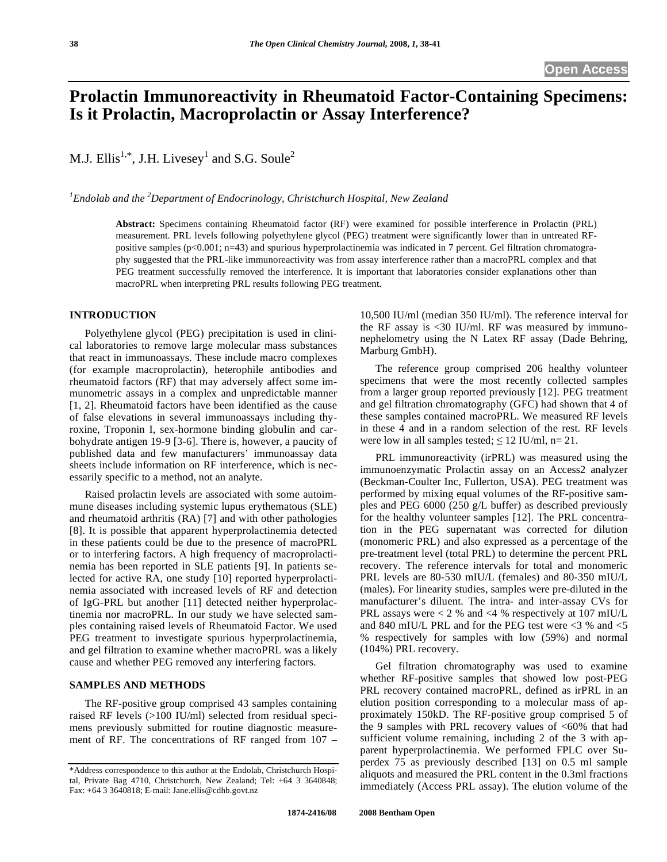# **Prolactin Immunoreactivity in Rheumatoid Factor-Containing Specimens: Is it Prolactin, Macroprolactin or Assay Interference?**

M.J. Ellis<sup>1,\*</sup>, J.H. Livesey<sup>1</sup> and S.G. Soule<sup>2</sup>

*1 Endolab and the 2 Department of Endocrinology, Christchurch Hospital, New Zealand* 

**Abstract:** Specimens containing Rheumatoid factor (RF) were examined for possible interference in Prolactin (PRL) measurement. PRL levels following polyethylene glycol (PEG) treatment were significantly lower than in untreated RFpositive samples (p<0.001; n=43) and spurious hyperprolactinemia was indicated in 7 percent. Gel filtration chromatography suggested that the PRL-like immunoreactivity was from assay interference rather than a macroPRL complex and that PEG treatment successfully removed the interference. It is important that laboratories consider explanations other than macroPRL when interpreting PRL results following PEG treatment.

## **INTRODUCTION**

 Polyethylene glycol (PEG) precipitation is used in clinical laboratories to remove large molecular mass substances that react in immunoassays. These include macro complexes (for example macroprolactin), heterophile antibodies and rheumatoid factors (RF) that may adversely affect some immunometric assays in a complex and unpredictable manner [1, 2]. Rheumatoid factors have been identified as the cause of false elevations in several immunoassays including thyroxine, Troponin I, sex-hormone binding globulin and carbohydrate antigen 19-9 [3-6]. There is, however, a paucity of published data and few manufacturers' immunoassay data sheets include information on RF interference, which is necessarily specific to a method, not an analyte.

 Raised prolactin levels are associated with some autoimmune diseases including systemic lupus erythematous (SLE) and rheumatoid arthritis (RA) [7] and with other pathologies [8]. It is possible that apparent hyperprolactinemia detected in these patients could be due to the presence of macroPRL or to interfering factors. A high frequency of macroprolactinemia has been reported in SLE patients [9]. In patients selected for active RA, one study [10] reported hyperprolactinemia associated with increased levels of RF and detection of IgG-PRL but another [11] detected neither hyperprolactinemia nor macroPRL. In our study we have selected samples containing raised levels of Rheumatoid Factor. We used PEG treatment to investigate spurious hyperprolactinemia, and gel filtration to examine whether macroPRL was a likely cause and whether PEG removed any interfering factors.

#### **SAMPLES AND METHODS**

 The RF-positive group comprised 43 samples containing raised RF levels (>100 IU/ml) selected from residual specimens previously submitted for routine diagnostic measurement of RF. The concentrations of RF ranged from 107 – 10,500 IU/ml (median 350 IU/ml). The reference interval for the RF assay is  $\langle 30 \text{ IU/ml} \rangle$ . RF was measured by immunonephelometry using the N Latex RF assay (Dade Behring, Marburg GmbH).

 The reference group comprised 206 healthy volunteer specimens that were the most recently collected samples from a larger group reported previously [12]. PEG treatment and gel filtration chromatography (GFC) had shown that 4 of these samples contained macroPRL. We measured RF levels in these 4 and in a random selection of the rest. RF levels were low in all samples tested;  $\leq 12$  IU/ml, n= 21.

 PRL immunoreactivity (irPRL) was measured using the immunoenzymatic Prolactin assay on an Access2 analyzer (Beckman-Coulter Inc, Fullerton, USA). PEG treatment was performed by mixing equal volumes of the RF-positive samples and PEG 6000 (250 g/L buffer) as described previously for the healthy volunteer samples [12]. The PRL concentration in the PEG supernatant was corrected for dilution (monomeric PRL) and also expressed as a percentage of the pre-treatment level (total PRL) to determine the percent PRL recovery. The reference intervals for total and monomeric PRL levels are 80-530 mIU/L (females) and 80-350 mIU/L (males). For linearity studies, samples were pre-diluted in the manufacturer's diluent. The intra- and inter-assay CVs for PRL assays were < 2 % and <4 % respectively at 107 mIU/L and 840 mIU/L PRL and for the PEG test were <3 % and <5 % respectively for samples with low (59%) and normal (104%) PRL recovery.

 Gel filtration chromatography was used to examine whether RF-positive samples that showed low post-PEG PRL recovery contained macroPRL, defined as irPRL in an elution position corresponding to a molecular mass of approximately 150kD. The RF-positive group comprised 5 of the 9 samples with PRL recovery values of  $<60\%$  that had sufficient volume remaining, including 2 of the 3 with apparent hyperprolactinemia. We performed FPLC over Superdex 75 as previously described [13] on 0.5 ml sample aliquots and measured the PRL content in the 0.3ml fractions immediately (Access PRL assay). The elution volume of the

<sup>\*</sup>Address correspondence to this author at the Endolab, Christchurch Hospital, Private Bag 4710, Christchurch, New Zealand; Tel: +64 3 3640848; Fax: +64 3 3640818; E-mail: Jane.ellis@cdhb.govt.nz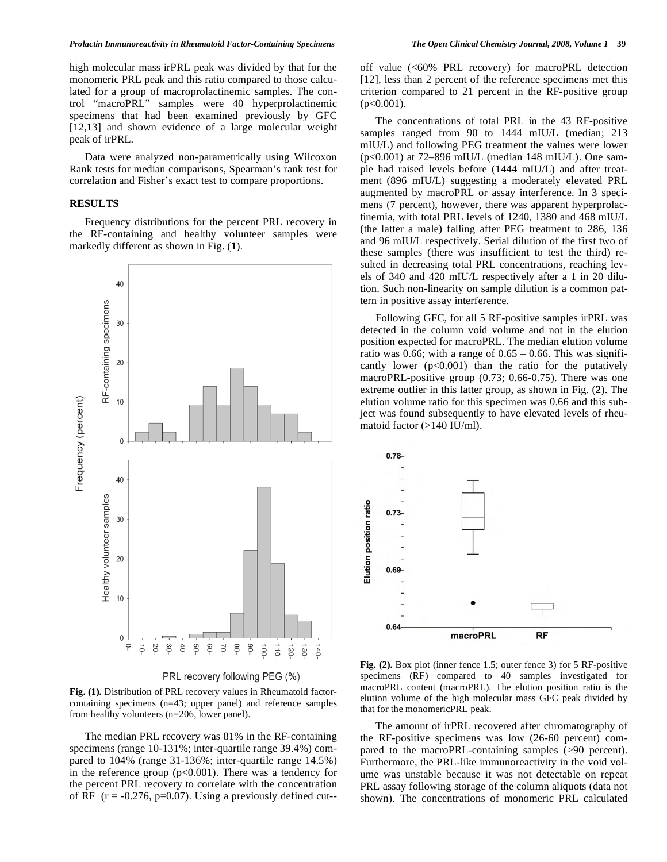high molecular mass irPRL peak was divided by that for the monomeric PRL peak and this ratio compared to those calculated for a group of macroprolactinemic samples. The control "macroPRL" samples were 40 hyperprolactinemic specimens that had been examined previously by GFC [12,13] and shown evidence of a large molecular weight peak of irPRL.

 Data were analyzed non-parametrically using Wilcoxon Rank tests for median comparisons, Spearman's rank test for correlation and Fisher's exact test to compare proportions.

## **RESULTS**

 Frequency distributions for the percent PRL recovery in the RF-containing and healthy volunteer samples were markedly different as shown in Fig. (**1**).



**Fig. (1).** Distribution of PRL recovery values in Rheumatoid factorcontaining specimens (n=43; upper panel) and reference samples from healthy volunteers (n=206, lower panel).

 The median PRL recovery was 81% in the RF-containing specimens (range 10-131%; inter-quartile range 39.4%) compared to 104% (range 31-136%; inter-quartile range 14.5%) in the reference group  $(p<0.001)$ . There was a tendency for the percent PRL recovery to correlate with the concentration of RF  $(r = -0.276, p=0.07)$ . Using a previously defined cut-- off value (<60% PRL recovery) for macroPRL detection [12], less than 2 percent of the reference specimens met this criterion compared to 21 percent in the RF-positive group  $(p<0.001)$ .

 The concentrations of total PRL in the 43 RF-positive samples ranged from 90 to 1444 mIU/L (median; 213 mIU/L) and following PEG treatment the values were lower (p<0.001) at 72–896 mIU/L (median 148 mIU/L). One sample had raised levels before (1444 mIU/L) and after treatment (896 mIU/L) suggesting a moderately elevated PRL augmented by macroPRL or assay interference. In 3 specimens (7 percent), however, there was apparent hyperprolactinemia, with total PRL levels of 1240, 1380 and 468 mIU/L (the latter a male) falling after PEG treatment to 286, 136 and 96 mIU/L respectively. Serial dilution of the first two of these samples (there was insufficient to test the third) resulted in decreasing total PRL concentrations, reaching levels of 340 and 420 mIU/L respectively after a 1 in 20 dilution. Such non-linearity on sample dilution is a common pattern in positive assay interference.

 Following GFC, for all 5 RF-positive samples irPRL was detected in the column void volume and not in the elution position expected for macroPRL. The median elution volume ratio was 0.66; with a range of  $0.65 - 0.66$ . This was significantly lower  $(p<0.001)$  than the ratio for the putatively macroPRL-positive group (0.73; 0.66-0.75). There was one extreme outlier in this latter group, as shown in Fig. (**2**). The elution volume ratio for this specimen was 0.66 and this subject was found subsequently to have elevated levels of rheumatoid factor (>140 IU/ml).



**Fig. (2).** Box plot (inner fence 1.5; outer fence 3) for 5 RF-positive specimens (RF) compared to 40 samples investigated for macroPRL content (macroPRL). The elution position ratio is the elution volume of the high molecular mass GFC peak divided by that for the monomericPRL peak.

 The amount of irPRL recovered after chromatography of the RF-positive specimens was low (26-60 percent) compared to the macroPRL-containing samples (>90 percent). Furthermore, the PRL-like immunoreactivity in the void volume was unstable because it was not detectable on repeat PRL assay following storage of the column aliquots (data not shown). The concentrations of monomeric PRL calculated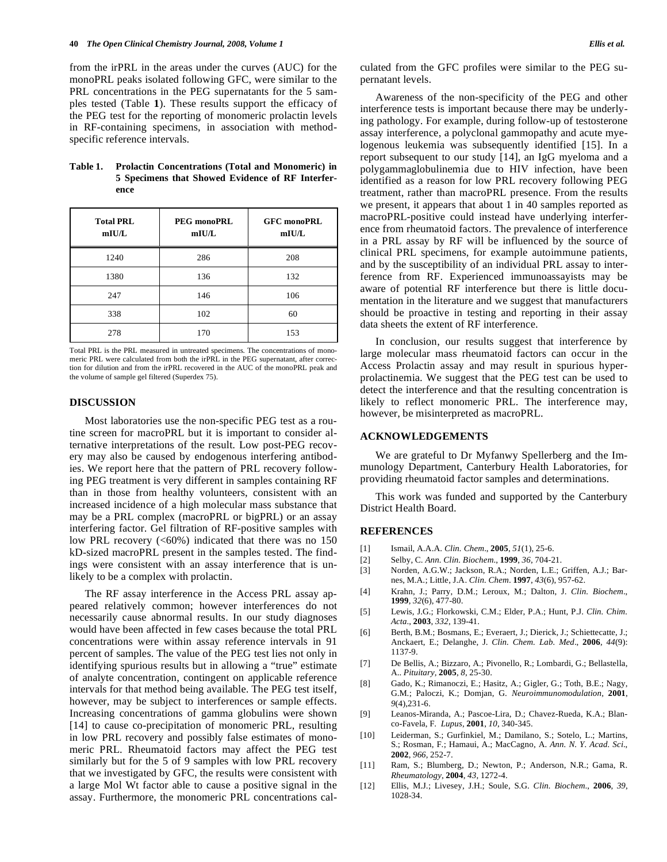from the irPRL in the areas under the curves (AUC) for the monoPRL peaks isolated following GFC, were similar to the PRL concentrations in the PEG supernatants for the 5 samples tested (Table **1**). These results support the efficacy of the PEG test for the reporting of monomeric prolactin levels in RF-containing specimens, in association with methodspecific reference intervals.

## **Table 1. Prolactin Concentrations (Total and Monomeric) in 5 Specimens that Showed Evidence of RF Interference**

| <b>Total PRL</b><br>mIU/L | PEG monoPRL<br>mIUL | <b>GFC monoPRL</b><br>mIU/L |
|---------------------------|---------------------|-----------------------------|
| 1240                      | 286                 | 208                         |
| 1380                      | 136                 | 132                         |
| 247                       | 146                 | 106                         |
| 338                       | 102                 | 60                          |
| 278                       | 170                 | 153                         |

Total PRL is the PRL measured in untreated specimens. The concentrations of monomeric PRL were calculated from both the irPRL in the PEG supernatant, after correction for dilution and from the irPRL recovered in the AUC of the monoPRL peak and the volume of sample gel filtered (Superdex 75).

## **DISCUSSION**

 Most laboratories use the non-specific PEG test as a routine screen for macroPRL but it is important to consider alternative interpretations of the result. Low post-PEG recovery may also be caused by endogenous interfering antibodies. We report here that the pattern of PRL recovery following PEG treatment is very different in samples containing RF than in those from healthy volunteers, consistent with an increased incidence of a high molecular mass substance that may be a PRL complex (macroPRL or bigPRL) or an assay interfering factor. Gel filtration of RF-positive samples with low PRL recovery  $(<60\%)$  indicated that there was no 150 kD-sized macroPRL present in the samples tested. The findings were consistent with an assay interference that is unlikely to be a complex with prolactin.

 The RF assay interference in the Access PRL assay appeared relatively common; however interferences do not necessarily cause abnormal results. In our study diagnoses would have been affected in few cases because the total PRL concentrations were within assay reference intervals in 91 percent of samples. The value of the PEG test lies not only in identifying spurious results but in allowing a "true" estimate of analyte concentration, contingent on applicable reference intervals for that method being available. The PEG test itself, however, may be subject to interferences or sample effects. Increasing concentrations of gamma globulins were shown [14] to cause co-precipitation of monomeric PRL, resulting in low PRL recovery and possibly false estimates of monomeric PRL. Rheumatoid factors may affect the PEG test similarly but for the 5 of 9 samples with low PRL recovery that we investigated by GFC, the results were consistent with a large Mol Wt factor able to cause a positive signal in the assay. Furthermore, the monomeric PRL concentrations calculated from the GFC profiles were similar to the PEG supernatant levels.

 Awareness of the non-specificity of the PEG and other interference tests is important because there may be underlying pathology. For example, during follow-up of testosterone assay interference, a polyclonal gammopathy and acute myelogenous leukemia was subsequently identified [15]. In a report subsequent to our study [14], an IgG myeloma and a polygammaglobulinemia due to HIV infection, have been identified as a reason for low PRL recovery following PEG treatment, rather than macroPRL presence. From the results we present, it appears that about 1 in 40 samples reported as macroPRL-positive could instead have underlying interference from rheumatoid factors. The prevalence of interference in a PRL assay by RF will be influenced by the source of clinical PRL specimens, for example autoimmune patients, and by the susceptibility of an individual PRL assay to interference from RF. Experienced immunoassayists may be aware of potential RF interference but there is little documentation in the literature and we suggest that manufacturers should be proactive in testing and reporting in their assay data sheets the extent of RF interference.

 In conclusion, our results suggest that interference by large molecular mass rheumatoid factors can occur in the Access Prolactin assay and may result in spurious hyperprolactinemia. We suggest that the PEG test can be used to detect the interference and that the resulting concentration is likely to reflect monomeric PRL. The interference may, however, be misinterpreted as macroPRL.

## **ACKNOWLEDGEMENTS**

 We are grateful to Dr Myfanwy Spellerberg and the Immunology Department, Canterbury Health Laboratories, for providing rheumatoid factor samples and determinations.

 This work was funded and supported by the Canterbury District Health Board.

#### **REFERENCES**

- [1] Ismail, A.A.A. *Clin. Chem*., **2005**, *51*(1), 25-6.
- [2] Selby, C. *Ann. Clin. Biochem*., **1999**, *36*, 704-21.
- [3] Norden, A.G.W.; Jackson, R.A.; Norden, L.E.; Griffen, A.J.; Barnes, M.A.; Little, J.A. *Clin. Chem*. **1997**, *43*(6), 957-62.
- [4] Krahn, J.; Parry, D.M.; Leroux, M.; Dalton, J. *Clin. Biochem*., **1999**, *32*(6), 477-80.
- [5] Lewis, J.G.; Florkowski, C.M.; Elder, P.A.; Hunt, P.J. *Clin. Chim. Acta*., **2003**, *332*, 139-41.
- [6] Berth, B.M.; Bosmans, E.; Everaert, J.; Dierick, J.; Schiettecatte, J.; Anckaert, E.; Delanghe, J. *Clin. Chem. Lab. Med*., **2006**, *44*(9): 1137-9.
- [7] De Bellis, A.; Bizzaro, A.; Pivonello, R.; Lombardi, G.; Bellastella, A.. *Pituitary,* **2005**, *8*, 25-30.
- [8] Gado, K.; Rimanoczi, E.; Hasitz, A.; Gigler, G.; Toth, B.E.; Nagy, G.M.; Paloczi, K.; Domjan, G. *Neuroimmunomodulation,* **2001**, *9*(4),231-6.
- [9] Leanos-Miranda, A.; Pascoe-Lira, D.; Chavez-Rueda, K.A.; Blanco-Favela, F. *Lupus*, **2001**, *10*, 340-345.
- [10] Leiderman, S.; Gurfinkiel, M.; Damilano, S.; Sotelo, L.; Martins, S.; Rosman, F.; Hamaui, A.; MacCagno, A. *Ann. N. Y. Acad. Sci*., **2002**, *966*, 252-7.
- [11] Ram, S.; Blumberg, D.; Newton, P.; Anderson, N.R.; Gama, R. *Rheumatology*, **2004**, *43*, 1272-4.
- [12] Ellis, M.J.; Livesey, J.H.; Soule, S.G. *Clin. Biochem*., **2006**, *39*, 1028-34.